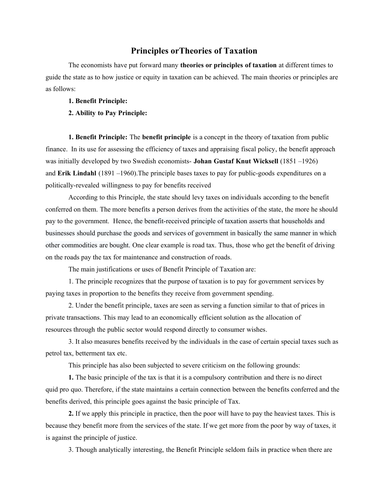## **Principles orTheories of Taxation**

The economists have put forward many **theories or principles of taxation** at different times to guide the state as to how justice or equity in taxation can be achieved. The main theories or principles are as follows:

## **1. Benefit Principle:**

## **2. Ability to Pay Principle:**

**1. Benefit Principle:** The **benefit principle** is a concept in the [theory](https://en.wikipedia.org/wiki/Theory_of_taxation) [of](https://en.wikipedia.org/wiki/Theory_of_taxation) [taxation](https://en.wikipedia.org/wiki/Theory_of_taxation) from [public](https://en.wikipedia.org/wiki/Public_finance) [finance](https://en.wikipedia.org/wiki/Public_finance). In its use for assessing the [efficiency](https://en.wikipedia.org/wiki/Economic_efficiency) of taxes and appraising [fiscal](https://en.wikipedia.org/wiki/Fiscal_policy) [policy,](https://en.wikipedia.org/wiki/Fiscal_policy) the benefit approach was initially developed by two Swedish economists- **Johan Gustaf Knut Wicksell** (1851 –1926) and **Erik Lindahl** (1891 –1960).The principle bases taxes to pay for [public-goods](https://en.wikipedia.org/wiki/Public_good_(economics)) [expenditures](https://en.wikipedia.org/wiki/Public_expenditure) on a politically-revealed [willingness](https://en.wikipedia.org/wiki/Willingness_to_pay) [to](https://en.wikipedia.org/wiki/Willingness_to_pay) [pay](https://en.wikipedia.org/wiki/Willingness_to_pay) for benefits received

According to this Principle, the state should levy taxes on individuals according to the benefit conferred on them. The more benefits a person derives from the activities of the state, the more he should pay to the government. Hence, the benefit-received principle of taxation asserts that households and businesses should purchase the goods and services of government in basically the same manner in which other commodities are bought. One clear example is road tax. Thus, those who get the benefit of driving on the roads pay the tax for maintenance and construction of roads.

The main justifications or uses of Benefit Principle of Taxation are:

1. The principle recognizes that the purpose of taxation is to pay for government services by paying taxes in proportion to the benefits they receive from government spending.

2. Under the benefit principle, taxes are seen as serving a function similar to that of prices in private transactions. This may lead to an economically efficient solution as the [allocation](https://www.britannica.com/topic/allocation-of-resources) [of](https://www.britannica.com/topic/allocation-of-resources) [resources](https://www.britannica.com/topic/allocation-of-resources) through the [public](https://www.britannica.com/topic/public-sector) [sector](https://www.britannica.com/topic/public-sector) would respond directly to consumer wishes.

3. It also measures benefits received by the individuals in the case of certain special taxes such as petrol tax, betterment tax etc.

This principle has also been subjected to severe criticism on the following grounds:

**1.** The basic principle of the tax is that it is a compulsory contribution and there is no direct quid pro quo. Therefore, if the state maintains a certain connection between the benefits conferred and the benefits derived, this principle goes against the basic principle of Tax.

**2.** If we apply this principle in practice, then the poor will have to pay the heaviest taxes. This is because they benefit more from the services of the state. If we get more from the poor by way of taxes, it is against the principle of justice.

3. Though analytically interesting, the Benefit Principle seldom fails in practice when there are